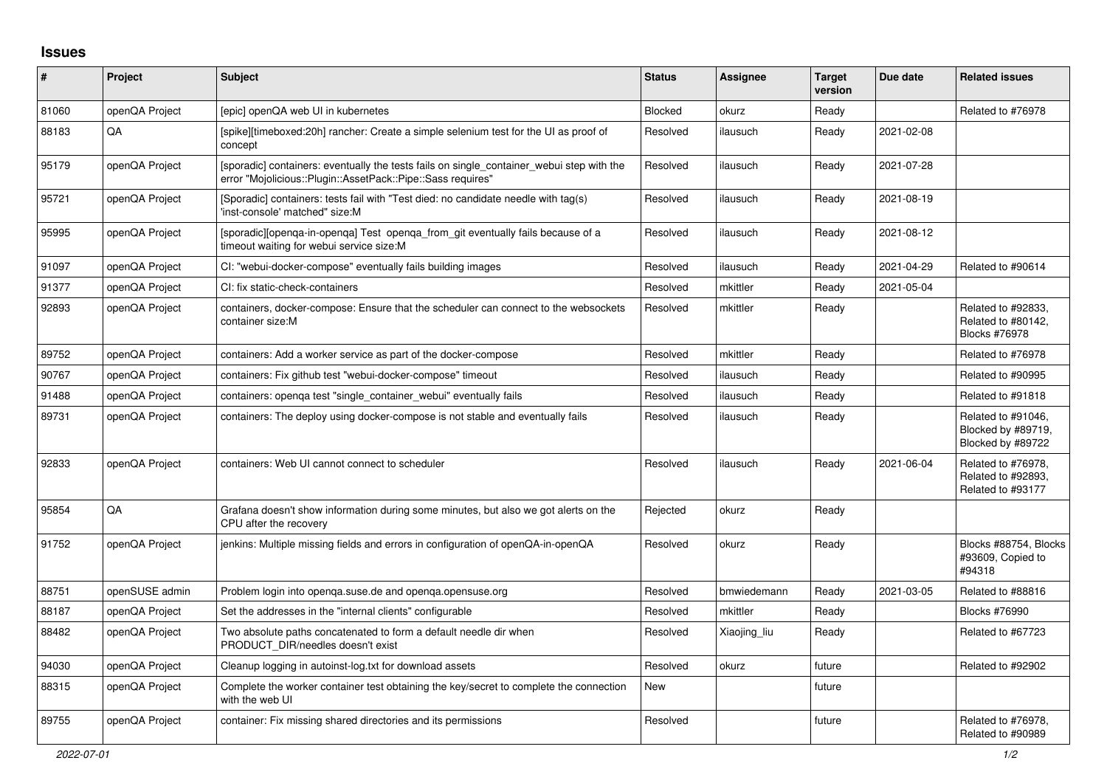## **Issues**

| $\vert$ # | Project        | <b>Subject</b>                                                                                                                                           | <b>Status</b> | <b>Assignee</b> | <b>Target</b><br>version | Due date   | <b>Related issues</b>                                         |
|-----------|----------------|----------------------------------------------------------------------------------------------------------------------------------------------------------|---------------|-----------------|--------------------------|------------|---------------------------------------------------------------|
| 81060     | openQA Project | [epic] openQA web UI in kubernetes                                                                                                                       | Blocked       | okurz           | Ready                    |            | Related to #76978                                             |
| 88183     | QA             | [spike][timeboxed:20h] rancher: Create a simple selenium test for the UI as proof of<br>concept                                                          | Resolved      | ilausuch        | Ready                    | 2021-02-08 |                                                               |
| 95179     | openQA Project | [sporadic] containers: eventually the tests fails on single_container_webui step with the<br>error "Mojolicious::Plugin::AssetPack::Pipe::Sass requires" | Resolved      | ilausuch        | Ready                    | 2021-07-28 |                                                               |
| 95721     | openQA Project | [Sporadic] containers: tests fail with "Test died: no candidate needle with tag(s)<br>'inst-console' matched" size:M                                     | Resolved      | ilausuch        | Ready                    | 2021-08-19 |                                                               |
| 95995     | openQA Project | [sporadic][openga-in-openga] Test openga from git eventually fails because of a<br>timeout waiting for webui service size:M                              | Resolved      | ilausuch        | Ready                    | 2021-08-12 |                                                               |
| 91097     | openQA Project | CI: "webui-docker-compose" eventually fails building images                                                                                              | Resolved      | ilausuch        | Ready                    | 2021-04-29 | Related to #90614                                             |
| 91377     | openQA Project | CI: fix static-check-containers                                                                                                                          | Resolved      | mkittler        | Ready                    | 2021-05-04 |                                                               |
| 92893     | openQA Project | containers, docker-compose: Ensure that the scheduler can connect to the websockets<br>container size:M                                                  | Resolved      | mkittler        | Ready                    |            | Related to #92833,<br>Related to #80142,<br>Blocks #76978     |
| 89752     | openQA Project | containers: Add a worker service as part of the docker-compose                                                                                           | Resolved      | mkittler        | Ready                    |            | Related to #76978                                             |
| 90767     | openQA Project | containers: Fix github test "webui-docker-compose" timeout                                                                                               | Resolved      | ilausuch        | Ready                    |            | Related to #90995                                             |
| 91488     | openQA Project | containers: openga test "single container webui" eventually fails                                                                                        | Resolved      | ilausuch        | Ready                    |            | Related to #91818                                             |
| 89731     | openQA Project | containers: The deploy using docker-compose is not stable and eventually fails                                                                           | Resolved      | ilausuch        | Ready                    |            | Related to #91046,<br>Blocked by #89719,<br>Blocked by #89722 |
| 92833     | openQA Project | containers: Web UI cannot connect to scheduler                                                                                                           | Resolved      | ilausuch        | Ready                    | 2021-06-04 | Related to #76978,<br>Related to #92893,<br>Related to #93177 |
| 95854     | QA             | Grafana doesn't show information during some minutes, but also we got alerts on the<br>CPU after the recovery                                            | Rejected      | okurz           | Ready                    |            |                                                               |
| 91752     | openQA Project | jenkins: Multiple missing fields and errors in configuration of openQA-in-openQA                                                                         | Resolved      | okurz           | Ready                    |            | Blocks #88754, Blocks<br>#93609, Copied to<br>#94318          |
| 88751     | openSUSE admin | Problem login into openqa.suse.de and openqa.opensuse.org                                                                                                | Resolved      | bmwiedemann     | Ready                    | 2021-03-05 | Related to #88816                                             |
| 88187     | openQA Project | Set the addresses in the "internal clients" configurable                                                                                                 | Resolved      | mkittler        | Ready                    |            | <b>Blocks #76990</b>                                          |
| 88482     | openQA Project | Two absolute paths concatenated to form a default needle dir when<br>PRODUCT DIR/needles doesn't exist                                                   | Resolved      | Xiaojing_liu    | Ready                    |            | Related to #67723                                             |
| 94030     | openQA Project | Cleanup logging in autoinst-log.txt for download assets                                                                                                  | Resolved      | okurz           | future                   |            | Related to #92902                                             |
| 88315     | openQA Project | Complete the worker container test obtaining the key/secret to complete the connection<br>with the web UI                                                | <b>New</b>    |                 | future                   |            |                                                               |
| 89755     | openQA Project | container: Fix missing shared directories and its permissions                                                                                            | Resolved      |                 | future                   |            | Related to #76978,<br>Related to #90989                       |